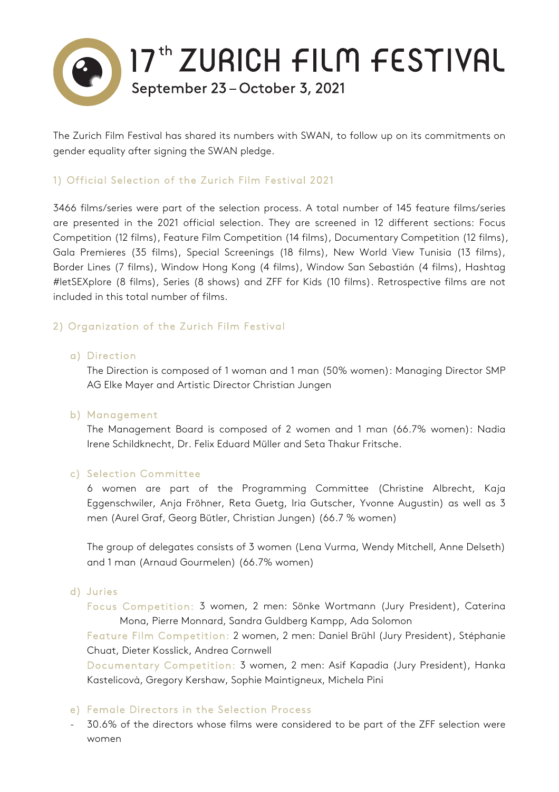

The Zurich Film Festival has shared its numbers with SWAN, to follow up on its commitments on gender equality after signing the SWAN pledge.

# 1) Official Selection of the Zurich Film Festival 2021

3466 films/series were part of the selection process. A total number of 145 feature films/series are presented in the 2021 official selection. They are screened in 12 different sections: Focus Competition (12 films), Feature Film Competition (14 films), Documentary Competition (12 films), Gala Premieres (35 films), Special Screenings (18 films), New World View Tunisia (13 films), Border Lines (7 films), Window Hong Kong (4 films), Window San Sebastián (4 films), Hashtag #letSEXplore (8 films), Series (8 shows) and ZFF for Kids (10 films). Retrospective films are not included in this total number of films.

## 2) Organization of the Zurich Film Festival

### a) Direction

The Direction is composed of 1 woman and 1 man (50% women): Managing Director SMP AG Elke Mayer and Artistic Director Christian Jungen

### b) Management

The Management Board is composed of 2 women and 1 man (66.7% women): Nadia Irene Schildknecht, Dr. Felix Eduard Müller and Seta Thakur Fritsche.

### c) Selection Committee

6 women are part of the Programming Committee (Christine Albrecht, Kaja Eggenschwiler, Anja Fröhner, Reta Guetg, Iria Gutscher, Yvonne Augustin) as well as 3 men (Aurel Graf, Georg Bütler, Christian Jungen) (66.7 % women)

The group of delegates consists of 3 women (Lena Vurma, Wendy Mitchell, Anne Delseth) and 1 man (Arnaud Gourmelen) (66.7% women)

### d) Juries

Focus Competition: 3 women, 2 men: Sönke Wortmann (Jury President), Caterina Mona, Pierre Monnard, Sandra Guldberg Kampp, Ada Solomon

Feature Film Competition: 2 women, 2 men: Daniel Brühl (Jury President), Stéphanie Chuat, Dieter Kosslick, Andrea Cornwell

Documentary Competition: 3 women, 2 men: Asif Kapadia (Jury President), Hanka Kastelicovà, Gregory Kershaw, Sophie Maintigneux, Michela Pini

### e) Female Directors in the Selection Process

- 30.6% of the directors whose films were considered to be part of the ZFF selection were women